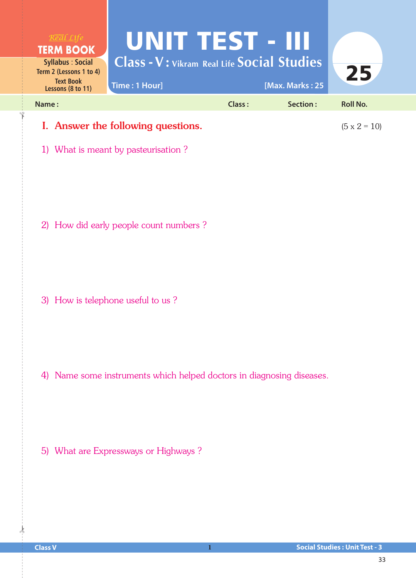

1) What is meant by pasteurisation ?

2) How did early people count numbers ?

3) How is telephone useful to us ?

4) Name some instruments which helped doctors in diagnosing diseases.

5) What are Expressways or Highways ?

 $\frac{1}{2}$